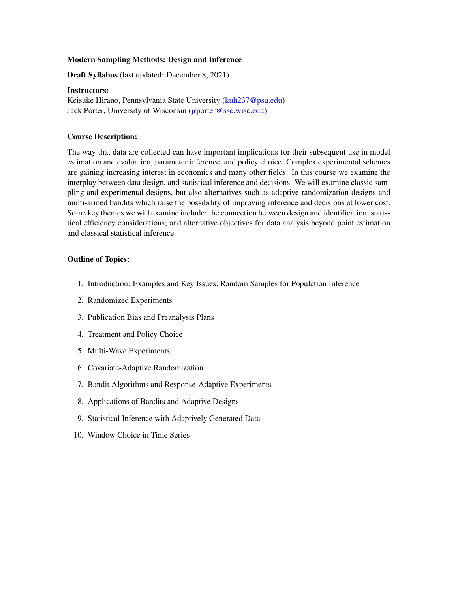## Modern Sampling Methods: Design and Inference

Draft Syllabus (last updated: December 8, 2021)

### Instructors:

Keisuke Hirano, Pennsylvania State University [\(kuh237@psu.edu\)](mailto:kuh237@psu.edu) Jack Porter, University of Wisconsin (*jrporter@ssc.wisc.edu*)

## Course Description:

The way that data are collected can have important implications for their subsequent use in model estimation and evaluation, parameter inference, and policy choice. Complex experimental schemes are gaining increasing interest in economics and many other fields. In this course we examine the interplay between data design, and statistical inference and decisions. We will examine classic sampling and experimental designs, but also alternatives such as adaptive randomization designs and multi-armed bandits which raise the possibility of improving inference and decisions at lower cost. Some key themes we will examine include: the connection between design and identification; statistical efficiency considerations; and alternative objectives for data analysis beyond point estimation and classical statistical inference.

# Outline of Topics:

- 1. Introduction: Examples and Key Issues; Random Samples for Population Inference
- 2. Randomized Experiments
- 3. Publication Bias and Preanalysis Plans
- 4. Treatment and Policy Choice
- 5. Multi-Wave Experiments
- 6. Covariate-Adaptive Randomization
- 7. Bandit Algorithms and Response-Adaptive Experiments
- 8. Applications of Bandits and Adaptive Designs
- 9. Statistical Inference with Adaptively Generated Data
- 10. Window Choice in Time Series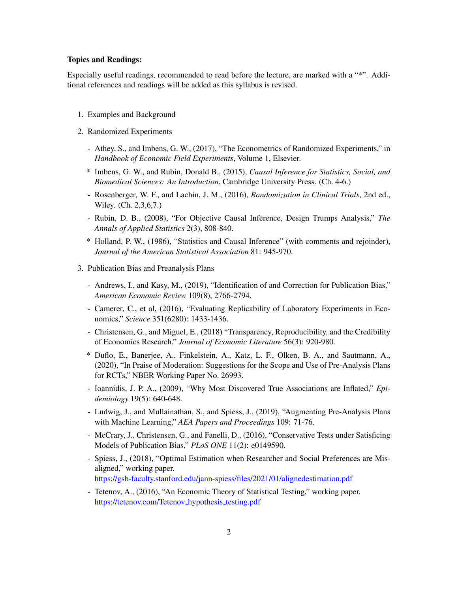#### Topics and Readings:

Especially useful readings, recommended to read before the lecture, are marked with a "\*". Additional references and readings will be added as this syllabus is revised.

- 1. Examples and Background
- 2. Randomized Experiments
	- Athey, S., and Imbens, G. W., (2017), "The Econometrics of Randomized Experiments," in *Handbook of Economic Field Experiments*, Volume 1, Elsevier.
	- \* Imbens, G. W., and Rubin, Donald B., (2015), *Causal Inference for Statistics, Social, and Biomedical Sciences: An Introduction*, Cambridge University Press. (Ch. 4-6.)
	- Rosenberger, W. F., and Lachin, J. M., (2016), *Randomization in Clinical Trials*, 2nd ed., Wiley. (Ch. 2,3,6,7.)
	- Rubin, D. B., (2008), "For Objective Causal Inference, Design Trumps Analysis," *The Annals of Applied Statistics* 2(3), 808-840.
	- \* Holland, P. W., (1986), "Statistics and Causal Inference" (with comments and rejoinder), *Journal of the American Statistical Association* 81: 945-970.
- 3. Publication Bias and Preanalysis Plans
	- Andrews, I., and Kasy, M., (2019), "Identification of and Correction for Publication Bias," *American Economic Review* 109(8), 2766-2794.
	- Camerer, C., et al, (2016), "Evaluating Replicability of Laboratory Experiments in Economics," *Science* 351(6280): 1433-1436.
	- Christensen, G., and Miguel, E., (2018) "Transparency, Reproducibility, and the Credibility of Economics Research," *Journal of Economic Literature* 56(3): 920-980.
	- \* Duflo, E., Banerjee, A., Finkelstein, A., Katz, L. F., Olken, B. A., and Sautmann, A., (2020), "In Praise of Moderation: Suggestions for the Scope and Use of Pre-Analysis Plans for RCTs," NBER Working Paper No. 26993.
	- Ioannidis, J. P. A., (2009), "Why Most Discovered True Associations are Inflated," *Epidemiology* 19(5): 640-648.
	- Ludwig, J., and Mullainathan, S., and Spiess, J., (2019), "Augmenting Pre-Analysis Plans with Machine Learning," *AEA Papers and Proceedings* 109: 71-76.
	- McCrary, J., Christensen, G., and Fanelli, D., (2016), "Conservative Tests under Satisficing Models of Publication Bias," *PLoS ONE* 11(2): e0149590.
	- Spiess, J., (2018), "Optimal Estimation when Researcher and Social Preferences are Misaligned," working paper. <https://gsb-faculty.stanford.edu/jann-spiess/files/2021/01/alignedestimation.pdf>
	- Tetenov, A., (2016), "An Economic Theory of Statistical Testing," working paper. [https://tetenov.com/Tetenov](https://tetenov.com/Tetenov_hypothesis_testing.pdf)\_hypothesis\_testing.pdf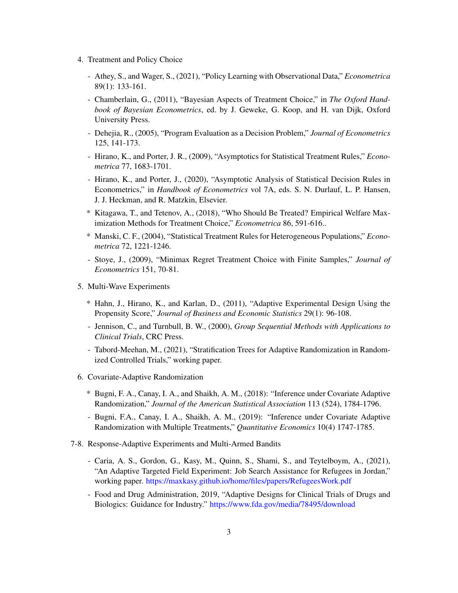- 4. Treatment and Policy Choice
	- Athey, S., and Wager, S., (2021), "Policy Learning with Observational Data," *Econometrica* 89(1): 133-161.
	- Chamberlain, G., (2011), "Bayesian Aspects of Treatment Choice," in *The Oxford Handbook of Bayesian Econometrics*, ed. by J. Geweke, G. Koop, and H. van Dijk, Oxford University Press.
	- Dehejia, R., (2005), "Program Evaluation as a Decision Problem," *Journal of Econometrics* 125, 141-173.
	- Hirano, K., and Porter, J. R., (2009), "Asymptotics for Statistical Treatment Rules," *Econometrica* 77, 1683-1701.
	- Hirano, K., and Porter, J., (2020), "Asymptotic Analysis of Statistical Decision Rules in Econometrics," in *Handbook of Econometrics* vol 7A, eds. S. N. Durlauf, L. P. Hansen, J. J. Heckman, and R. Matzkin, Elsevier.
	- \* Kitagawa, T., and Tetenov, A., (2018), "Who Should Be Treated? Empirical Welfare Maximization Methods for Treatment Choice," *Econometrica* 86, 591-616..
	- \* Manski, C. F., (2004), "Statistical Treatment Rules for Heterogeneous Populations," *Econometrica* 72, 1221-1246.
	- Stoye, J., (2009), "Minimax Regret Treatment Choice with Finite Samples," *Journal of Econometrics* 151, 70-81.
- 5. Multi-Wave Experiments
	- \* Hahn, J., Hirano, K., and Karlan, D., (2011), "Adaptive Experimental Design Using the Propensity Score," *Journal of Business and Economic Statistics* 29(1): 96-108.
	- Jennison, C., and Turnbull, B. W., (2000), *Group Sequential Methods with Applications to Clinical Trials*, CRC Press.
	- Tabord-Meehan, M., (2021), "Stratification Trees for Adaptive Randomization in Randomized Controlled Trials," working paper.
- 6. Covariate-Adaptive Randomization
	- \* Bugni, F. A., Canay, I. A., and Shaikh, A. M., (2018): "Inference under Covariate Adaptive Randomization," *Journal of the American Statistical Association* 113 (524), 1784-1796.
	- Bugni, F.A., Canay, I. A., Shaikh, A. M., (2019): "Inference under Covariate Adaptive Randomization with Multiple Treatments," *Quantitative Economics* 10(4) 1747-1785.
- 7-8. Response-Adaptive Experiments and Multi-Armed Bandits
	- Caria, A. S., Gordon, G., Kasy, M., Quinn, S., Shami, S., and Teytelboym, A., (2021), "An Adaptive Targeted Field Experiment: Job Search Assistance for Refugees in Jordan," working paper. <https://maxkasy.github.io/home/files/papers/RefugeesWork.pdf>
	- Food and Drug Administration, 2019, "Adaptive Designs for Clinical Trials of Drugs and Biologics: Guidance for Industry." <https://www.fda.gov/media/78495/download>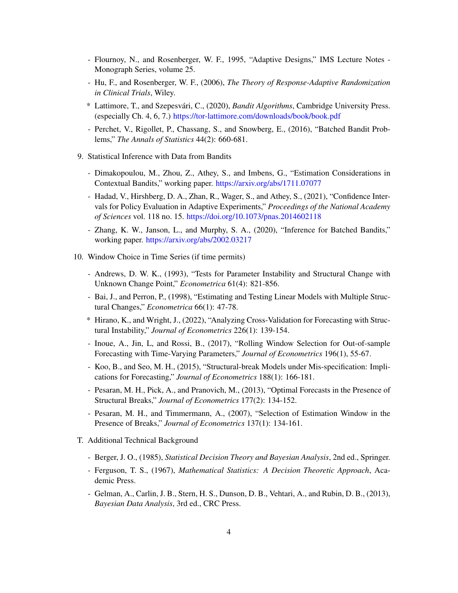- Flournoy, N., and Rosenberger, W. F., 1995, "Adaptive Designs," IMS Lecture Notes Monograph Series, volume 25.
- Hu, F., and Rosenberger, W. F., (2006), *The Theory of Response-Adaptive Randomization in Clinical Trials*, Wiley.
- \* Lattimore, T., and Szepesvári, C., (2020), *Bandit Algorithms*, Cambridge University Press. (especially Ch. 4, 6, 7.) <https://tor-lattimore.com/downloads/book/book.pdf>
- Perchet, V., Rigollet, P., Chassang, S., and Snowberg, E., (2016), "Batched Bandit Problems," *The Annals of Statistics* 44(2): 660-681.
- 9. Statistical Inference with Data from Bandits
	- Dimakopoulou, M., Zhou, Z., Athey, S., and Imbens, G., "Estimation Considerations in Contextual Bandits," working paper. <https://arxiv.org/abs/1711.07077>
	- Hadad, V., Hirshberg, D. A., Zhan, R., Wager, S., and Athey, S., (2021), "Confidence Intervals for Policy Evaluation in Adaptive Experiments," *Proceedings of the National Academy of Sciences* vol. 118 no. 15. <https://doi.org/10.1073/pnas.2014602118>
	- Zhang, K. W., Janson, L., and Murphy, S. A., (2020), "Inference for Batched Bandits," working paper. <https://arxiv.org/abs/2002.03217>
- 10. Window Choice in Time Series (if time permits)
	- Andrews, D. W. K., (1993), "Tests for Parameter Instability and Structural Change with Unknown Change Point," *Econometrica* 61(4): 821-856.
	- Bai, J., and Perron, P., (1998), "Estimating and Testing Linear Models with Multiple Structural Changes," *Econometrica* 66(1): 47-78.
	- \* Hirano, K., and Wright, J., (2022), "Analyzing Cross-Validation for Forecasting with Structural Instability," *Journal of Econometrics* 226(1): 139-154.
	- Inoue, A., Jin, L, and Rossi, B., (2017), "Rolling Window Selection for Out-of-sample Forecasting with Time-Varying Parameters," *Journal of Econometrics* 196(1), 55-67.
	- Koo, B., and Seo, M. H., (2015), "Structural-break Models under Mis-specification: Implications for Forecasting," *Journal of Econometrics* 188(1): 166-181.
	- Pesaran, M. H., Pick, A., and Pranovich, M., (2013), "Optimal Forecasts in the Presence of Structural Breaks," *Journal of Econometrics* 177(2): 134-152.
	- Pesaran, M. H., and Timmermann, A., (2007), "Selection of Estimation Window in the Presence of Breaks," *Journal of Econometrics* 137(1): 134-161.
- T. Additional Technical Background
	- Berger, J. O., (1985), *Statistical Decision Theory and Bayesian Analysis*, 2nd ed., Springer.
	- Ferguson, T. S., (1967), *Mathematical Statistics: A Decision Theoretic Approach*, Academic Press.
	- Gelman, A., Carlin, J. B., Stern, H. S., Dunson, D. B., Vehtari, A., and Rubin, D. B., (2013), *Bayesian Data Analysis*, 3rd ed., CRC Press.